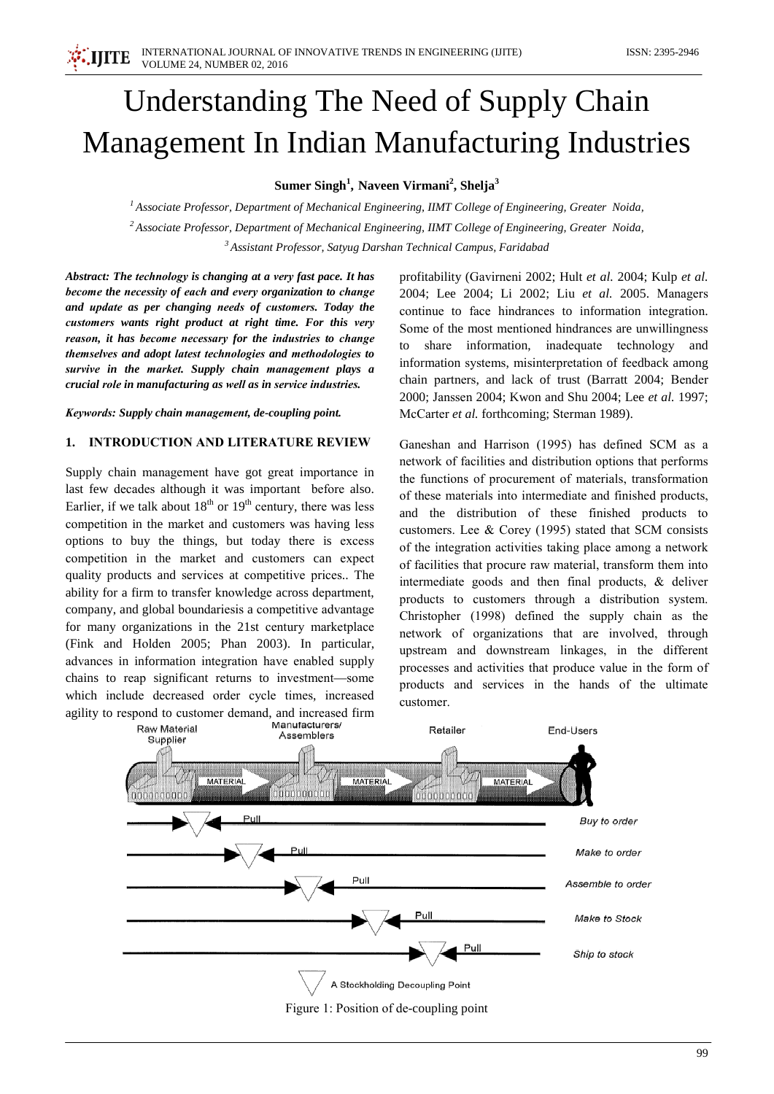# Understanding The Need of Supply Chain Management In Indian Manufacturing Industries

Sumer Singh<sup>1</sup>, Naveen Virmani<sup>2</sup>, Shelja<sup>3</sup>

 $<sup>1</sup>$  Associate Professor, Department of Mechanical Engineering, IIMT College of Engineering, Greater Noida,</sup>  $2$  Associate Professor, Department of Mechanical Engineering, IIMT College of Engineering, Greater Noida, <sup>3</sup> Assistant Professor, Satyug Darshan Technical Campus, Faridabad

Abstract: The technology is changing at a very fast pace. It has become the necessity of each and every organization to change and update as per changing needs of customers. Today the customers wants right product at right time. For this very reason, it has become necessary for the industries to change themselves and adopt latest technologies and methodologies to survive in the market. Supply chain management plays a crucial role in manufacturing as well as in service industries.

Keywords: Supply chain management, de-coupling point.

## 1. **INTRODUCTION AND LITERATURE REVIEW**

Supply chain management have got great importance in last few decades although it was important before also. Earlier, if we talk about  $18<sup>th</sup>$  or  $19<sup>th</sup>$  century, there was less competition in the market and customers was having less options to buy the things, but today there is excess competition in the market and customers can expect quality products and services at competitive prices.. The ability for a firm to transfer knowledge across department, company, and global boundaries is a competitive advantage for many organizations in the 21st century marketplace (Fink and Holden 2005; Phan 2003). In particular, advances in information integration have enabled supply chains to reap significant returns to investment—some which include decreased order cycle times, increased agility to respond to customer demand, and increased firm

profitability (Gavirneni 2002; Hult et al. 2004; Kulp et al. 2004; Lee 2004; Li 2002; Liu et al. 2005. Managers continue to face hindrances to information integration. Some of the most mentioned hindrances are unwillingness share information, inadequate technology and information systems, misinterpretation of feedback among chain partners, and lack of trust (Barratt 2004; Bender 2000; Janssen 2004; Kwon and Shu 2004; Lee et al. 1997; McCarter et al. forthcoming; Sterman 1989).

Ganeshan and Harrison (1995) has defined SCM as a network of facilities and distribution options that performs the functions of procurement of materials, transformation of these materials into intermediate and finished products, and the distribution of these finished products to customers. Lee & Corey (1995) stated that SCM consists of the integration activities taking place among a network of facilities that procure raw material, transform them into intermediate goods and then final products,  $\&$  deliver products to customers through a distribution system. Christopher (1998) defined the supply chain as the network of organizations that are involved, through upstream and downstream linkages, in the different processes and activities that produce value in the form of products and services in the hands of the ultimate customer.